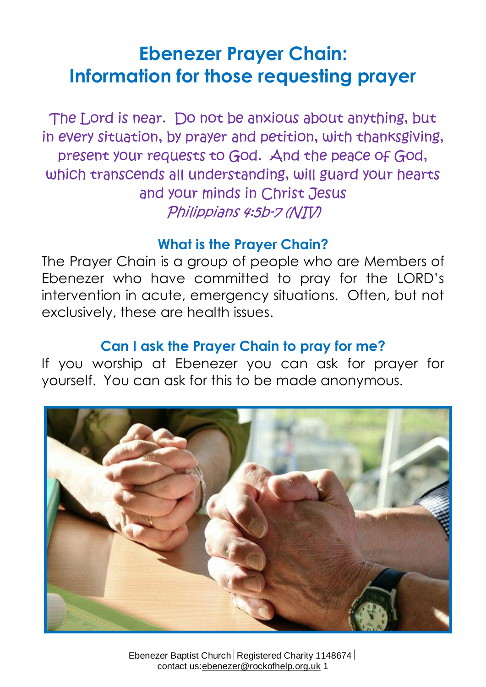# **Ebenezer Prayer Chain: Information for those requesting prayer**

The Lord is near. Do not be anxious about anything, but in every situation, by prayer and petition, with thanksgiving, present your requests to God. And the peace of God, which transcends all understanding, will guard your hearts and your minds in Christ Jesus Philippians 4:5b-7 (NIV)

#### **What is the Prayer Chain?**

The Prayer Chain is a group of people who are Members of Ebenezer who have committed to pray for the LORD's intervention in acute, emergency situations. Often, but not exclusively, these are health issues.

#### **Can I ask the Prayer Chain to pray for me?**

If you worship at Ebenezer you can ask for prayer for yourself. You can ask for this to be made anonymous.



Ebenezer Baptist Church Registered Charity 1148674 contact us:ebenezer@rockofhelp.org.uk 1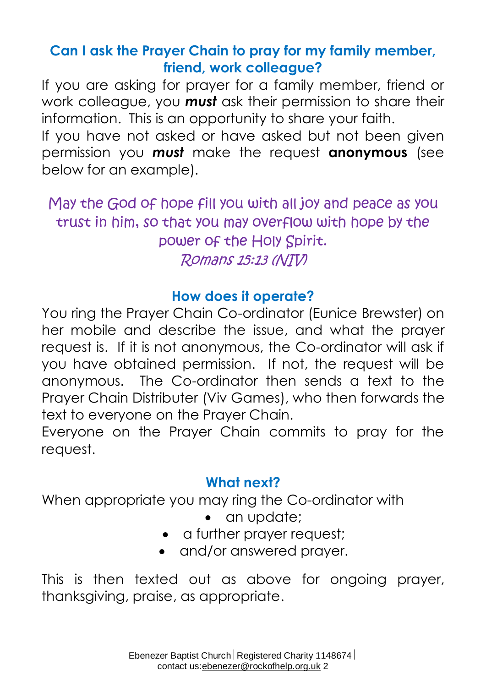# **Can I ask the Prayer Chain to pray for my family member, friend, work colleague?**

If you are asking for prayer for a family member, friend or work colleague, you *must* ask their permission to share their information. This is an opportunity to share your faith.

If you have not asked or have asked but not been given permission you *must* make the request **anonymous** (see below for an example).

May the God of hope fill you with all joy and peace as you trust in him, so that you may overflow with hope by the power of the Holy Spirit. Romans 15:13 (NIV)

## **How does it operate?**

You ring the Prayer Chain Co-ordinator (Eunice Brewster) on her mobile and describe the issue, and what the prayer request is. If it is not anonymous, the Co-ordinator will ask if you have obtained permission. If not, the request will be anonymous. The Co-ordinator then sends a text to the Prayer Chain Distributer (Viv Games), who then forwards the text to everyone on the Prayer Chain.

Everyone on the Prayer Chain commits to pray for the request.

# **What next?**

When appropriate you may ring the Co-ordinator with

- an update;
- a further prayer request;
- and/or answered prayer.

This is then texted out as above for ongoing prayer, thanksgiving, praise, as appropriate.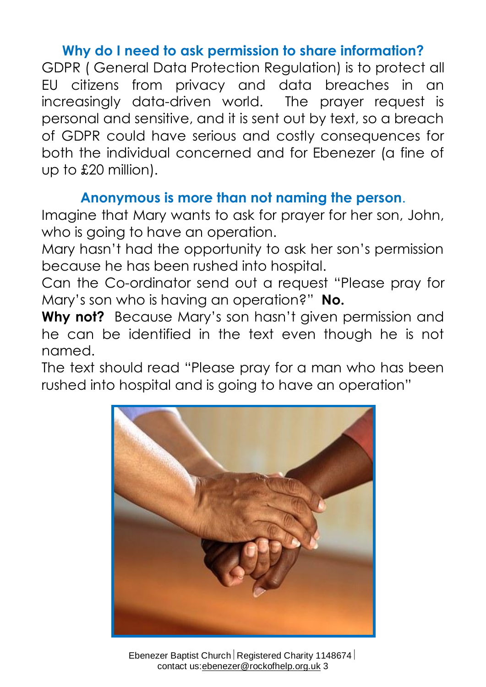## **Why do I need to ask permission to share information?**

GDPR ( General Data Protection Regulation) is to protect all EU citizens from privacy and data breaches in an increasingly data-driven world. The prayer request is personal and sensitive, and it is sent out by text, so a breach of GDPR could have serious and costly consequences for both the individual concerned and for Ebenezer (a fine of up to £20 million).

#### **Anonymous is more than not naming the person**.

Imagine that Mary wants to ask for prayer for her son, John, who is going to have an operation.

Mary hasn't had the opportunity to ask her son's permission because he has been rushed into hospital.

Can the Co-ordinator send out a request "Please pray for Mary's son who is having an operation?" **No.**

Why not? Because Mary's son hasn't given permission and he can be identified in the text even though he is not named.

The text should read "Please pray for a man who has been rushed into hospital and is going to have an operation"



Ebenezer Baptist Church Registered Charity 1148674 contact us:ebenezer@rockofhelp.org.uk 3